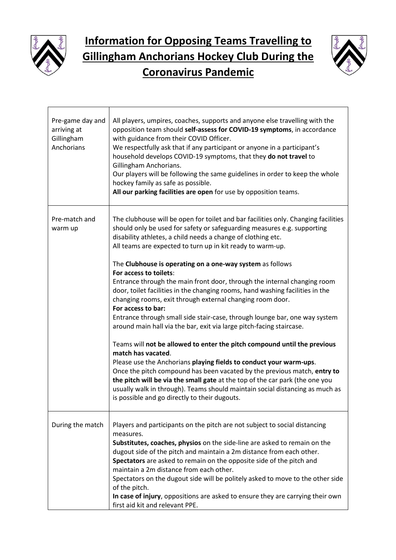



| Pre-game day and<br>arriving at<br>Gillingham<br>Anchorians | All players, umpires, coaches, supports and anyone else travelling with the<br>opposition team should self-assess for COVID-19 symptoms, in accordance<br>with guidance from their COVID Officer.<br>We respectfully ask that if any participant or anyone in a participant's<br>household develops COVID-19 symptoms, that they do not travel to<br>Gillingham Anchorians.<br>Our players will be following the same guidelines in order to keep the whole<br>hockey family as safe as possible.<br>All our parking facilities are open for use by opposition teams.                                                                                                                                                                                                                                                                                                                                                                                                                                                                                                                                                                                                                                                                                         |
|-------------------------------------------------------------|---------------------------------------------------------------------------------------------------------------------------------------------------------------------------------------------------------------------------------------------------------------------------------------------------------------------------------------------------------------------------------------------------------------------------------------------------------------------------------------------------------------------------------------------------------------------------------------------------------------------------------------------------------------------------------------------------------------------------------------------------------------------------------------------------------------------------------------------------------------------------------------------------------------------------------------------------------------------------------------------------------------------------------------------------------------------------------------------------------------------------------------------------------------------------------------------------------------------------------------------------------------|
| Pre-match and<br>warm up                                    | The clubhouse will be open for toilet and bar facilities only. Changing facilities<br>should only be used for safety or safeguarding measures e.g. supporting<br>disability athletes, a child needs a change of clothing etc.<br>All teams are expected to turn up in kit ready to warm-up.<br>The Clubhouse is operating on a one-way system as follows<br>For access to toilets:<br>Entrance through the main front door, through the internal changing room<br>door, toilet facilities in the changing rooms, hand washing facilities in the<br>changing rooms, exit through external changing room door.<br>For access to bar:<br>Entrance through small side stair-case, through lounge bar, one way system<br>around main hall via the bar, exit via large pitch-facing staircase.<br>Teams will not be allowed to enter the pitch compound until the previous<br>match has vacated.<br>Please use the Anchorians playing fields to conduct your warm-ups.<br>Once the pitch compound has been vacated by the previous match, entry to<br>the pitch will be via the small gate at the top of the car park (the one you<br>usually walk in through). Teams should maintain social distancing as much as<br>is possible and go directly to their dugouts. |
| During the match                                            | Players and participants on the pitch are not subject to social distancing<br>measures.<br>Substitutes, coaches, physios on the side-line are asked to remain on the<br>dugout side of the pitch and maintain a 2m distance from each other.<br>Spectators are asked to remain on the opposite side of the pitch and<br>maintain a 2m distance from each other.<br>Spectators on the dugout side will be politely asked to move to the other side<br>of the pitch.<br>In case of injury, oppositions are asked to ensure they are carrying their own<br>first aid kit and relevant PPE.                                                                                                                                                                                                                                                                                                                                                                                                                                                                                                                                                                                                                                                                       |